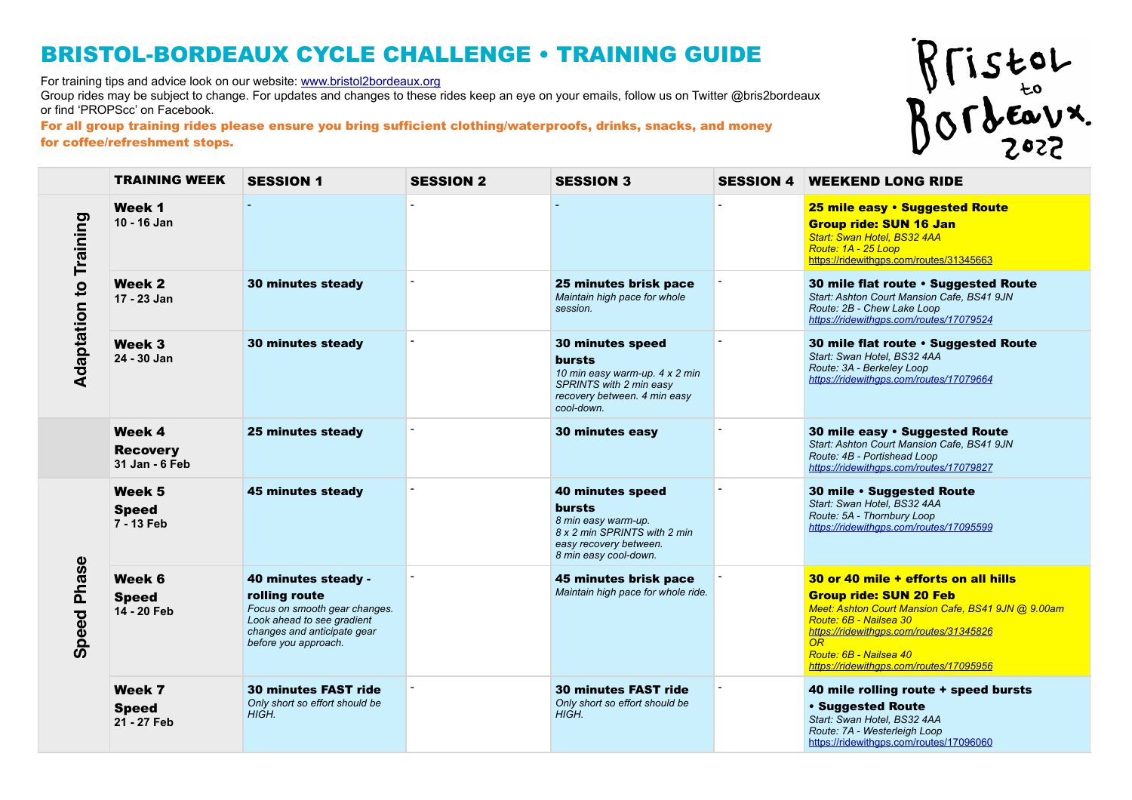For training tips and advice look on our website: [www.bristol2bordeaux.org](http://www.bristol2bordeaux.org) 

Group rides may be subject to change. For updates and changes to these rides keep an eye on your emails, follow us on Twitter @bris2bordeaux or find 'PROPScc' on Facebook.

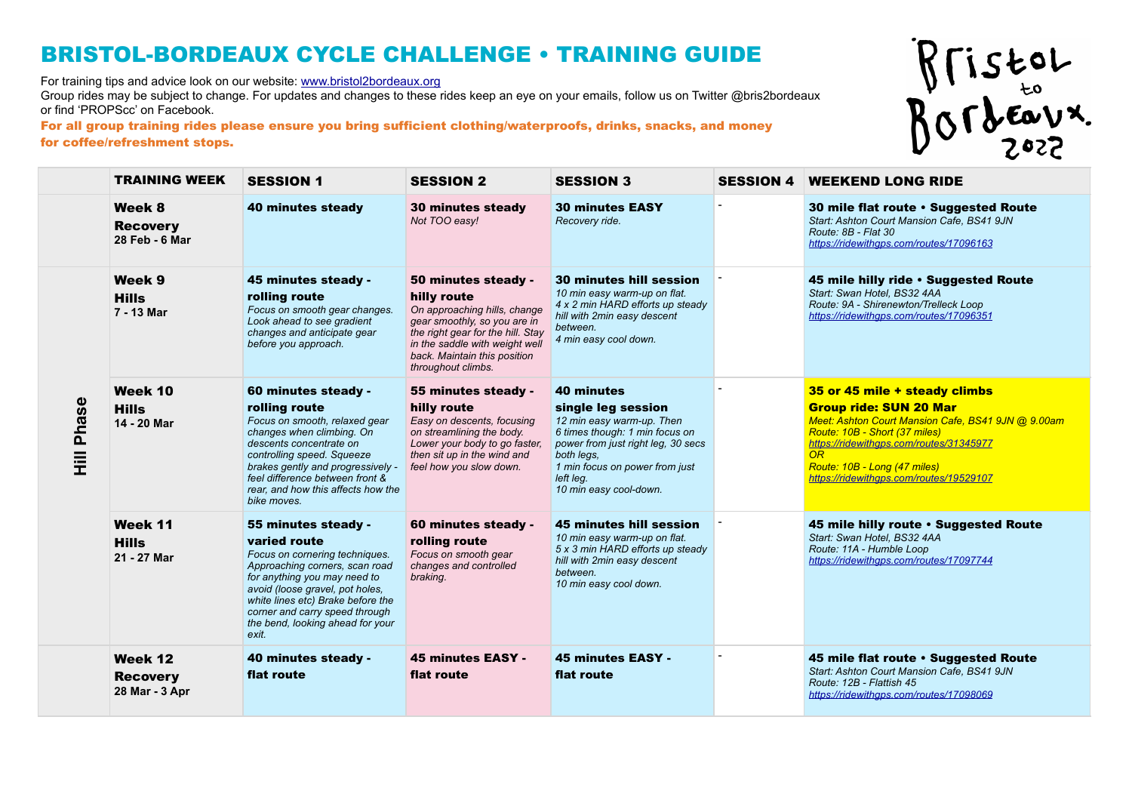For training tips and advice look on our website: [www.bristol2bordeaux.org](http://www.bristol2bordeaux.org) 

Group rides may be subject to change. For updates and changes to these rides keep an eye on your emails, follow us on Twitter @bris2bordeaux or find 'PROPScc' on Facebook.

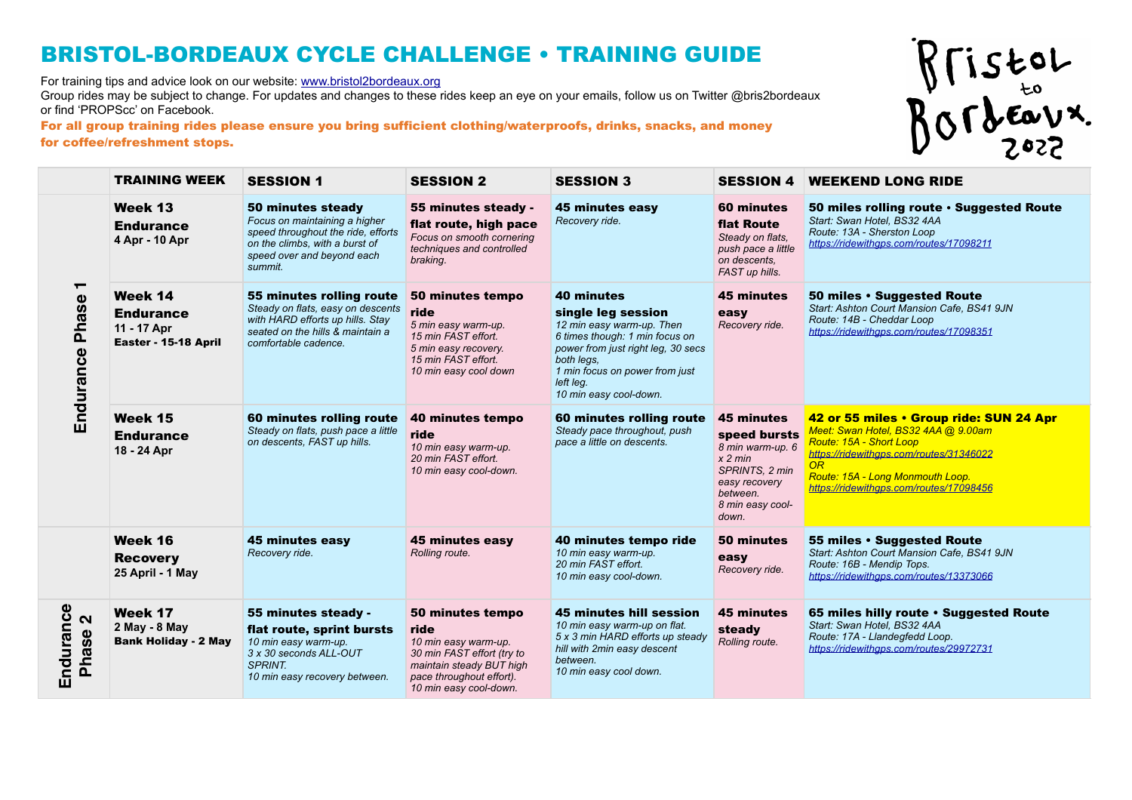For training tips and advice look on our website: [www.bristol2bordeaux.org](http://www.bristol2bordeaux.org) 

Group rides may be subject to change. For updates and changes to these rides keep an eye on your emails, follow us on Twitter @bris2bordeaux or find 'PROPScc' on Facebook.

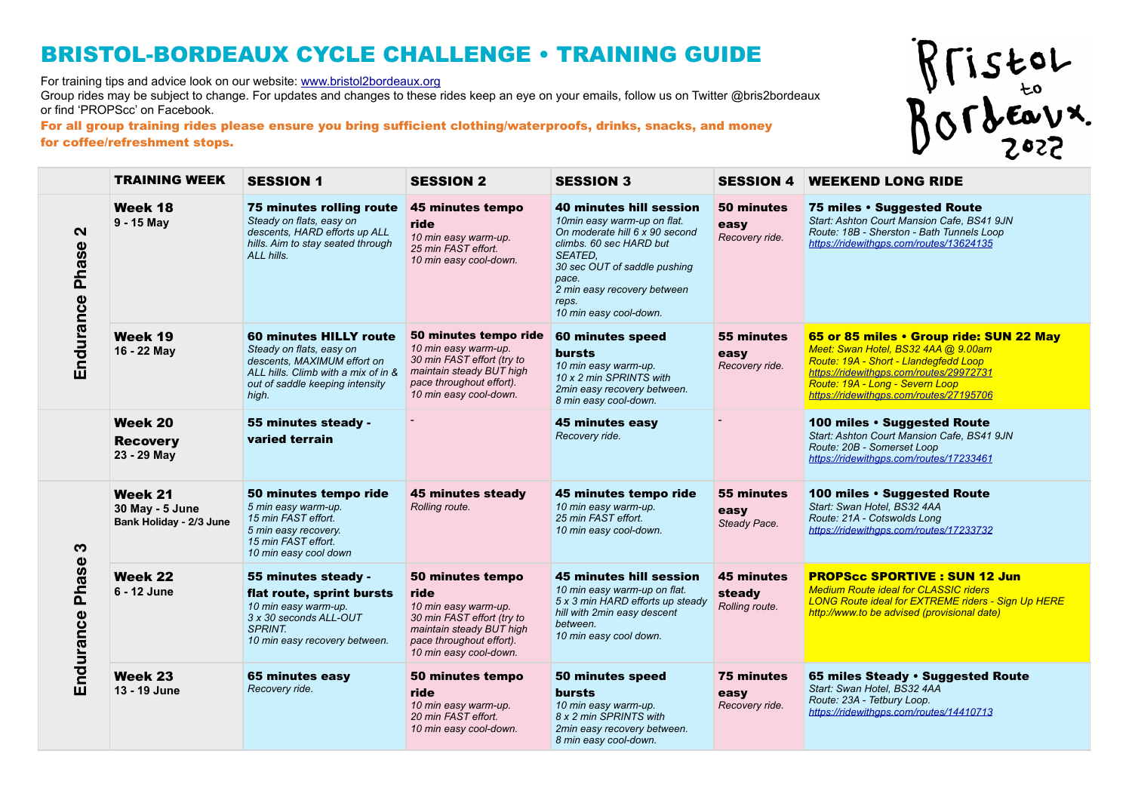For training tips and advice look on our website: [www.bristol2bordeaux.org](http://www.bristol2bordeaux.org) 

Group rides may be subject to change. For updates and changes to these rides keep an eye on your emails, follow us on Twitter @bris2bordeaux or find 'PROPScc' on Facebook.



|                                         | <b>TRAINING WEEK</b>                                  | <b>SESSION 1</b>                                                                                                                                                            | <b>SESSION 2</b>                                                                                                                                                 | <b>SESSION 3</b>                                                                                                                                                                                                                                        | <b>SESSION 4</b>                              | <b>WEEKEND LONG RIDE</b>                                                                                                                                                                                                                         |
|-----------------------------------------|-------------------------------------------------------|-----------------------------------------------------------------------------------------------------------------------------------------------------------------------------|------------------------------------------------------------------------------------------------------------------------------------------------------------------|---------------------------------------------------------------------------------------------------------------------------------------------------------------------------------------------------------------------------------------------------------|-----------------------------------------------|--------------------------------------------------------------------------------------------------------------------------------------------------------------------------------------------------------------------------------------------------|
| $\mathbf{\Omega}$<br>Phase<br>Endurance | Week 18<br>9 - 15 May                                 | <b>75 minutes rolling route</b><br>Steady on flats, easy on<br>descents, HARD efforts up ALL<br>hills. Aim to stay seated through<br>ALL hills.                             | 45 minutes tempo<br>ride<br>10 min easy warm-up.<br>25 min FAST effort.<br>10 min easy cool-down.                                                                | <b>40 minutes hill session</b><br>10min easy warm-up on flat.<br>On moderate hill 6 x 90 second<br>climbs, 60 sec HARD but<br><b>SEATED.</b><br>30 sec OUT of saddle pushing<br>pace.<br>2 min easy recovery between<br>reps.<br>10 min easy cool-down. | 50 minutes<br>easy<br>Recovery ride.          | 75 miles · Suggested Route<br>Start: Ashton Court Mansion Cafe, BS41 9JN<br>Route: 18B - Sherston - Bath Tunnels Loop<br>https://ridewithgps.com/routes/13624135                                                                                 |
|                                         | Week 19<br>16 - 22 May                                | <b>60 minutes HILLY route</b><br>Steady on flats, easy on<br>descents, MAXIMUM effort on<br>ALL hills. Climb with a mix of in &<br>out of saddle keeping intensity<br>high. | 50 minutes tempo ride<br>10 min easy warm-up.<br>30 min FAST effort (try to<br>maintain steady BUT high<br>pace throughout effort).<br>10 min easy cool-down.    | 60 minutes speed<br><b>bursts</b><br>10 min easy warm-up.<br>10 x 2 min SPRINTS with<br>2min easy recovery between.<br>8 min easy cool-down.                                                                                                            | 55 minutes<br>easy<br>Recovery ride.          | 65 or 85 miles • Group ride: SUN 22 May<br>Meet: Swan Hotel, BS32 4AA @ 9.00am<br>Route: 19A - Short - Llandegfedd Loop<br>https://ridewithgps.com/routes/29972731<br>Route: 19A - Long - Severn Loop<br>https://ridewithaps.com/routes/27195706 |
|                                         | Week 20<br><b>Recovery</b><br>23 - 29 May             | 55 minutes steady -<br>varied terrain                                                                                                                                       |                                                                                                                                                                  | <b>45 minutes easy</b><br>Recovery ride.                                                                                                                                                                                                                |                                               | 100 miles · Suggested Route<br>Start: Ashton Court Mansion Cafe, BS41 9JN<br>Route: 20B - Somerset Loop<br>https://ridewithgps.com/routes/17233461                                                                                               |
| S<br>Phase<br>Endurance                 | Week 21<br>30 May - 5 June<br>Bank Holiday - 2/3 June | 50 minutes tempo ride<br>5 min easy warm-up.<br>15 min FAST effort.<br>5 min easy recovery.<br>15 min FAST effort.<br>10 min easy cool down                                 | 45 minutes steady<br>Rolling route.                                                                                                                              | 45 minutes tempo ride<br>10 min easy warm-up.<br>25 min FAST effort.<br>10 min easy cool-down.                                                                                                                                                          | 55 minutes<br>easy<br>Steady Pace.            | 100 miles · Suggested Route<br>Start: Swan Hotel. BS32 4AA<br>Route: 21A - Cotswolds Long<br>https://ridewithgps.com/routes/17233732                                                                                                             |
|                                         | Week 22<br>6 - 12 June                                | 55 minutes steady -<br>flat route, sprint bursts<br>10 min easy warm-up.<br>3 x 30 seconds ALL-OUT<br><b>SPRINT.</b><br>10 min easy recovery between.                       | 50 minutes tempo<br>ride<br>10 min easy warm-up.<br>30 min FAST effort (try to<br>maintain steady BUT high<br>pace throughout effort).<br>10 min easy cool-down. | 45 minutes hill session<br>10 min easy warm-up on flat.<br>5 x 3 min HARD efforts up steady<br>hill with 2min easy descent<br>between.<br>10 min easy cool down.                                                                                        | <b>45 minutes</b><br>steady<br>Rolling route. | <b>PROPScc SPORTIVE: SUN 12 Jun</b><br><b>Medium Route ideal for CLASSIC riders</b><br><b>LONG Route ideal for EXTREME riders - Sign Up HERE</b><br>http://www.to be advised (provisional date)                                                  |
|                                         | Week 23<br>13 - 19 June                               | 65 minutes easy<br>Recovery ride.                                                                                                                                           | 50 minutes tempo<br>ride<br>10 min easy warm-up.<br>20 min FAST effort.<br>10 min easy cool-down.                                                                | 50 minutes speed<br><b>bursts</b><br>10 min easy warm-up.<br>8 x 2 min SPRINTS with<br>2min easy recovery between.<br>8 min easy cool-down.                                                                                                             | <b>75 minutes</b><br>easy<br>Recovery ride.   | 65 miles Steady . Suggested Route<br>Start: Swan Hotel. BS32 4AA<br>Route: 23A - Tetbury Loop.<br>https://ridewithgps.com/routes/14410713                                                                                                        |